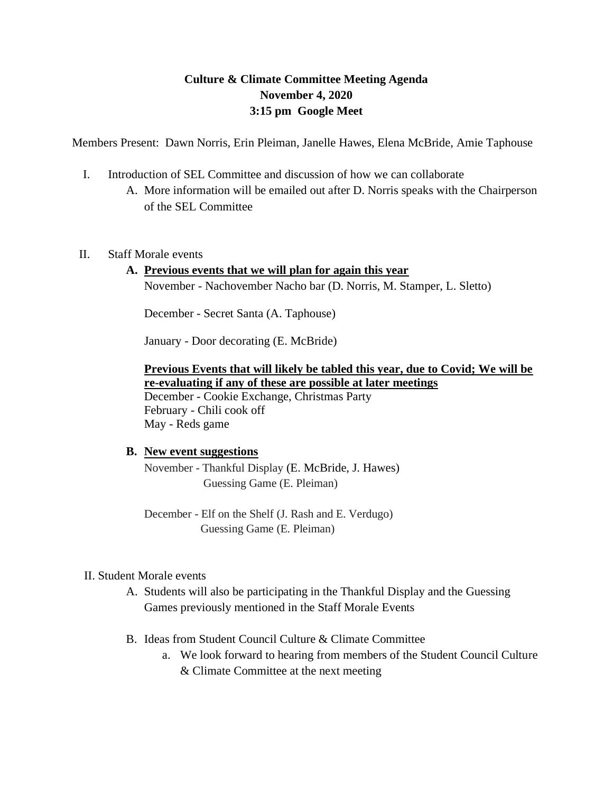## **Culture & Climate Committee Meeting Agenda November 4, 2020 3:15 pm Google Meet**

Members Present: Dawn Norris, Erin Pleiman, Janelle Hawes, Elena McBride, Amie Taphouse

- I. Introduction of SEL Committee and discussion of how we can collaborate
	- A. More information will be emailed out after D. Norris speaks with the Chairperson of the SEL Committee
- II. Staff Morale events

# **A. Previous events that we will plan for again this year**

November - Nachovember Nacho bar (D. Norris, M. Stamper, L. Sletto)

December - Secret Santa (A. Taphouse)

January - Door decorating (E. McBride)

**Previous Events that will likely be tabled this year, due to Covid; We will be re-evaluating if any of these are possible at later meetings** December - Cookie Exchange, Christmas Party February - Chili cook off May - Reds game

#### **B. New event suggestions**

November - Thankful Display (E. McBride, J. Hawes) Guessing Game (E. Pleiman)

December - Elf on the Shelf (J. Rash and E. Verdugo) Guessing Game (E. Pleiman)

### II. Student Morale events

- A. Students will also be participating in the Thankful Display and the Guessing Games previously mentioned in the Staff Morale Events
- B. Ideas from Student Council Culture & Climate Committee
	- a. We look forward to hearing from members of the Student Council Culture & Climate Committee at the next meeting